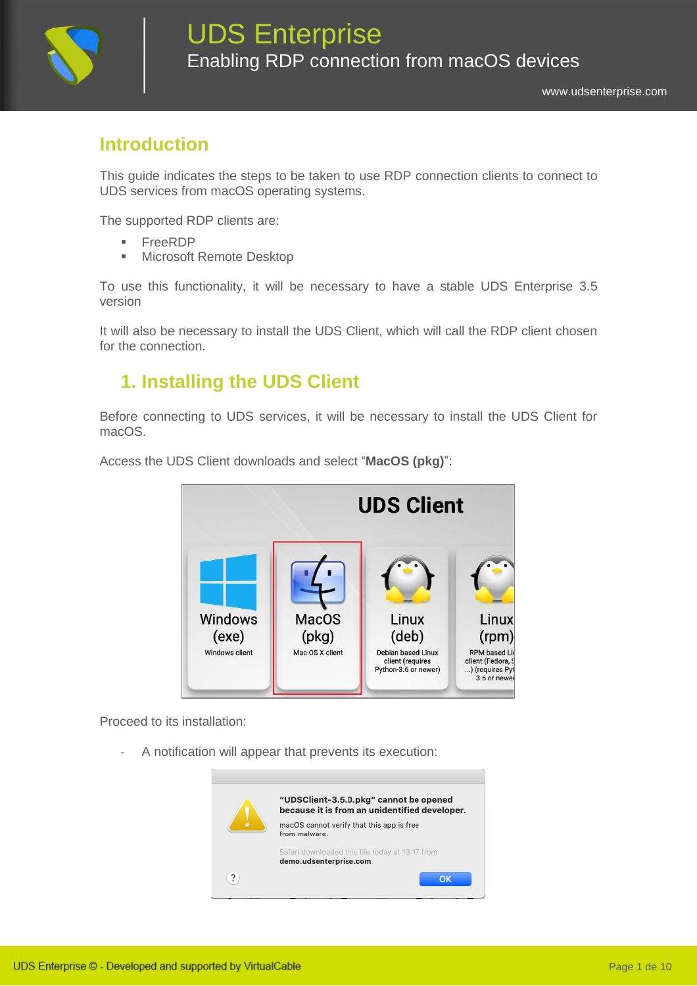

# **Introduction**

This guide indicates the steps to be taken to use RDP connection clients to connect to UDS services from macOS operating systems.

The supported RDP clients are:

- FreeRDP
- Microsoft Remote Desktop

To use this functionality, it will be necessary to have a stable UDS Enterprise 3.5 version

It will also be necessary to install the UDS Client, which will call the RDP client chosen for the connection.

#### **1. Installing the UDS Client**

Before connecting to UDS services, it will be necessary to install the UDS Client for macOS.



Access the UDS Client downloads and select "**MacOS (pkg)**":

Proceed to its installation:

A notification will appear that prevents its execution:

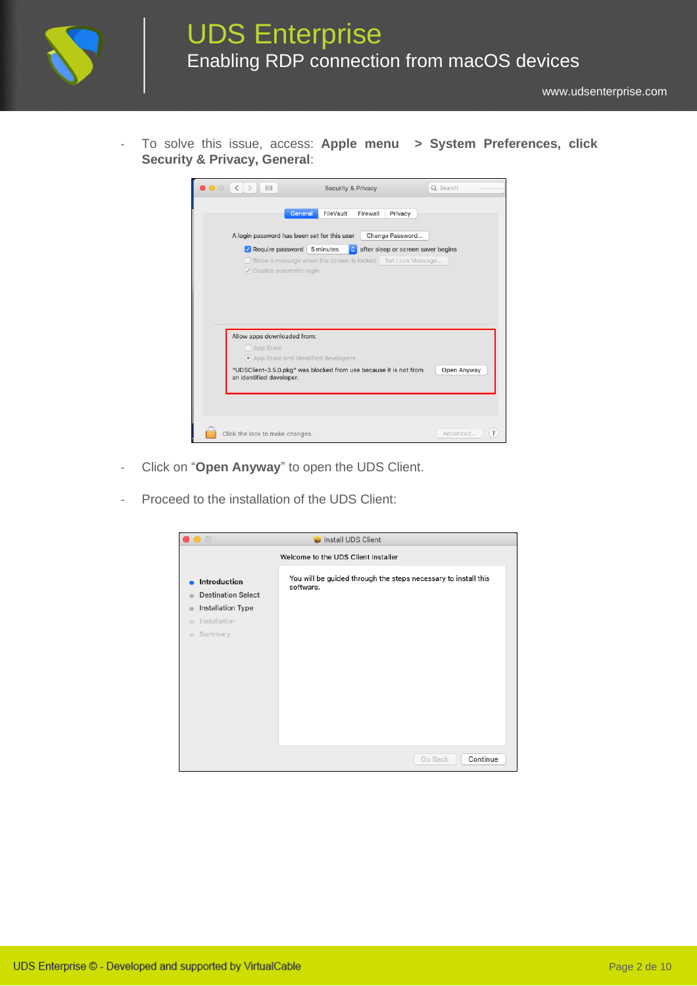

- To solve this issue, access: **Apple menu > System Preferences, click Security & Privacy, General**:



- Click on "**Open Anyway**" to open the UDS Client.
- Proceed to the installation of the UDS Client:

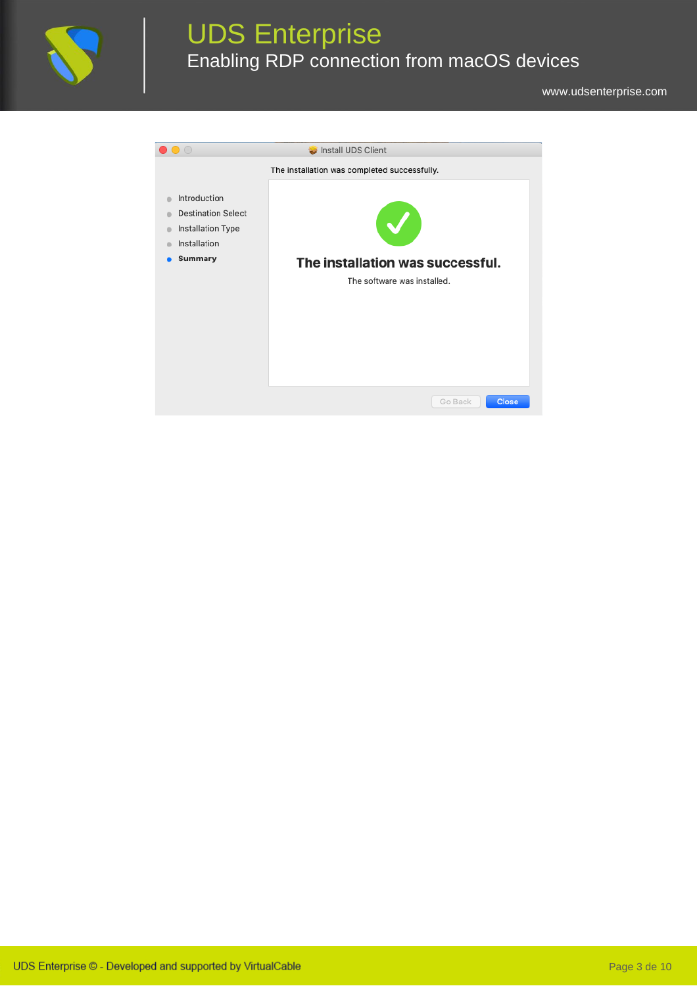

# UDS Enterprise Enabling RDP connection from macOS devices

[www.udsenterprise.com](http://www.udsenterprise.com/)

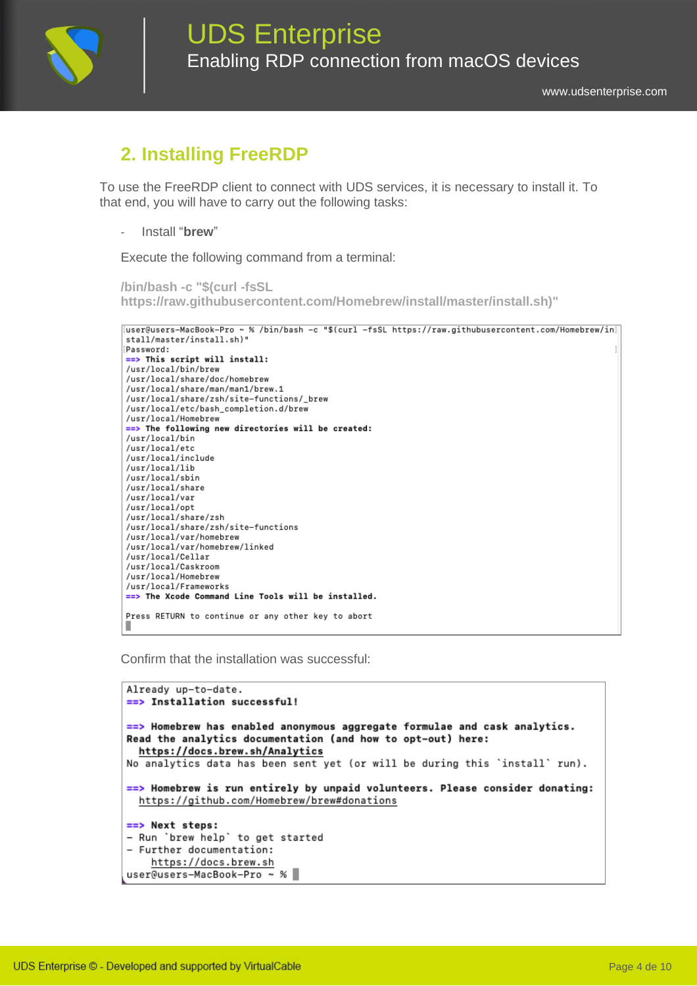

### **2. Installing FreeRDP**

To use the FreeRDP client to connect with UDS services, it is necessary to install it. To that end, you will have to carry out the following tasks:

- Install "**brew**"

Execute the following command from a terminal:

```
/bin/bash -c "$(curl -fsSL
https://raw.githubusercontent.com/Homebrew/install/master/install.sh)"
```

```
.<br>[user@users-MacBook-Pro ~ % /bin/bash -c "$(curl -fsSL https://raw.githubusercontent.com/Homebrew/in]
stall/master/install.sh)"
Password:
==> This script will install:
/usr/local/bin/brew
/usr/local/share/doc/homebrew
/usr/local/share/man/man1/brew.1
/usr/local/share/zsh/site-functions/_brew
/usr/local/etc/bash_completion.d/brew
/usr/local/Homebrew
==> The following new directories will be created:
/usr/local/bin
/usr/local/etc
/usr/local/include
/usr/local/lib
/usr/local/sbin
/usr/local/share
/usr/local/var
/usr/local/opt
/usr/local/share/zsh
/usr/local/share/zsh/site-functions
/usr/local/var/homebrew
/usr/local/var/homebrew/linked
/usr/local/Cellar
/usr/local/Caskroom
/usr/local/Homebrew
/usr/local/Frameworks
==> The Xcode Command Line Tools will be installed.
Press RETURN to continue or any other key to abort
```
Confirm that the installation was successful:

```
Already up-to-date.
==> Installation successful!
\equiv Homebrew has enabled anonymous aggregate formulae and cask analytics.
Read the analytics documentation (and how to opt-out) here:
 https://docs.brew.sh/Analytics
No analytics data has been sent yet (or will be during this 'install' run).
==> Homebrew is run entirely by unpaid volunteers. Please consider donating:
 https://github.com/Homebrew/brew#donations
==> Next steps:
- Run `brew help` to get started
- Further documentation:
    https://docs.brew.sh
user@users-MacBook-Pro ~ %
```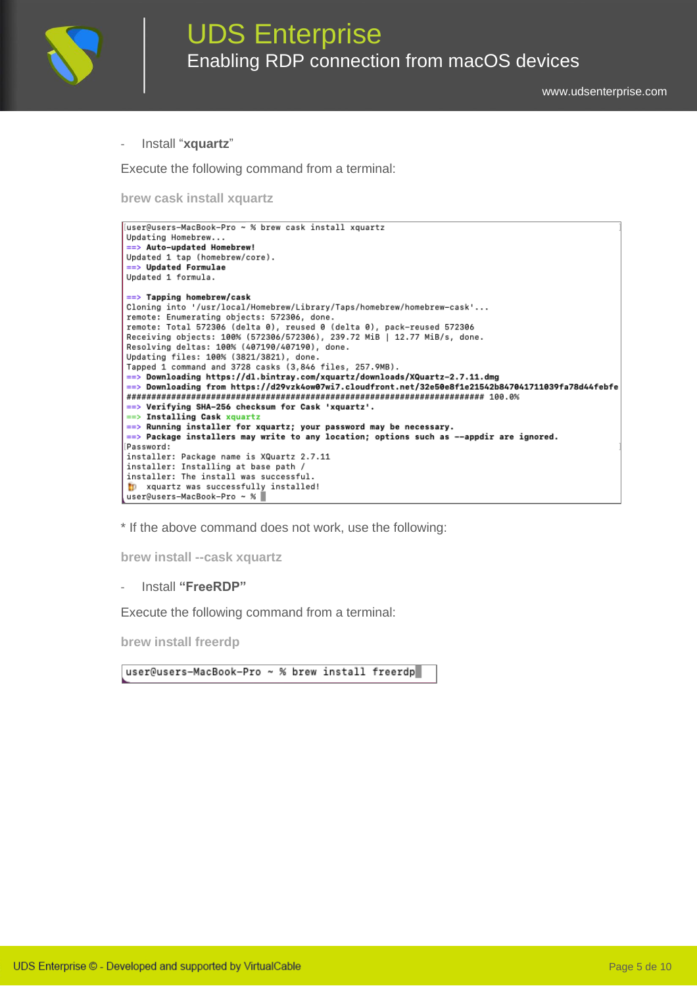

- Install "**xquartz**"

Execute the following command from a terminal:

**brew cask install xquartz**

```
[user@users-MacBook-Pro ~ % brew cask install xquartz
Updating Homebrew...
==> Auto-updated Homebrew!
Updated 1 tap (homebrew/core).
==> Updated Formulae
Updated 1 formula.
==> Tapping homebrew/cask
Cloning into '/usr/local/Homebrew/Library/Taps/homebrew/homebrew-cask'...
remote: Enumerating objects: 572306, done.
remote: Total 572306 (delta 0), reused 0 (delta 0), pack-reused 572306
Receiving objects: 100% (572306/572306), 239.72 MiB | 12.77 MiB/s, done.<br>Receiving deltas: 100% (572306/572306), 239.72 MiB | 12.77 MiB/s, done.
Updating files: 100% (3821/3821), done.
Tapped 1 command and 3728 casks (3,846 files, 257.9MB).
==> Downloading https://dl.bintray.com/xquartz/downloads/XQuartz-2.7.11.dmg
==> Downloading from https://d29vzk4ow07wi7.cloudfront.net/32e50e8f1e21542b847041711039fa78d44febfe
==> Verifying SHA-256 checksum for Cask 'xquartz'.
==> Installing Cask xquartz
==> Running installer for xquartz; your password may be necessary.
==> Package installers may write to any location; options such as --appdir are ignored.
Password:
installer: Package name is XQuartz 2.7.11
installer: Installing at base path /
installer: The install was successful.
to xquartz was successfully installed!
user@users-MacBook-Pro ~ %
```
\* If the above command does not work, use the following:

**brew install --cask xquartz**

- Install **"FreeRDP"**

Execute the following command from a terminal:

**brew install freerdp**

user@users-MacBook-Pro ~ % brew install freerdp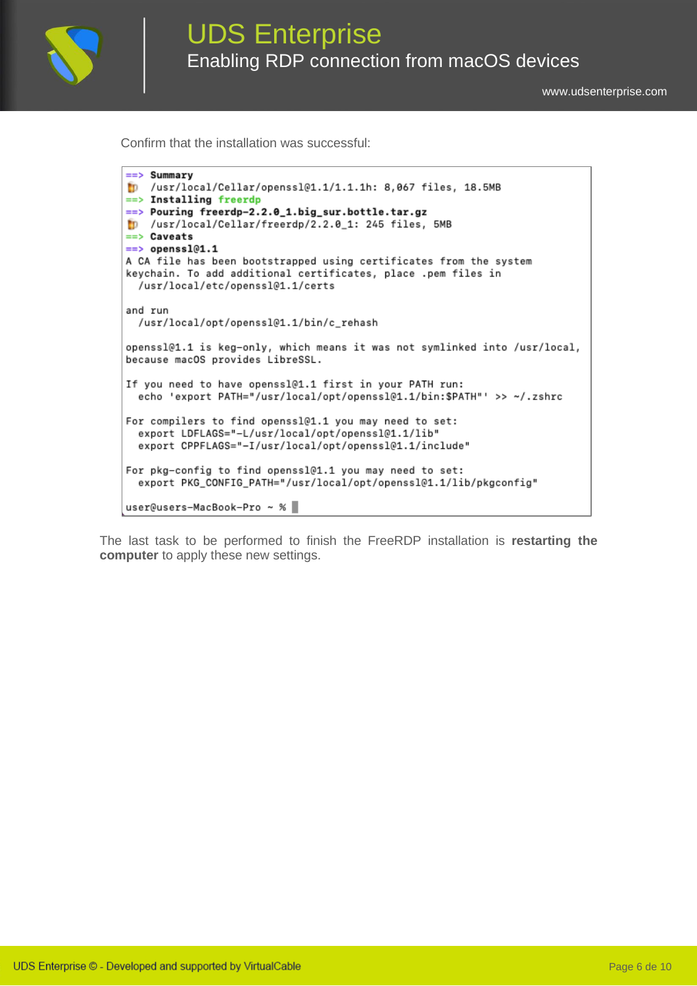

[www.udsenterprise.com](http://www.udsenterprise.com/)

Confirm that the installation was successful:

```
==> Summary
[D] /usr/local/Cellar/openss101.1/1.1.1h: 8,067 files, 18.5MB
==> Installing freerdp
==> Pouring freerdp-2.2.0_1.big_sur.bottle.tar.gz
MD /usr/local/Cellar/freerdp/2.2.0_1: 245 files, 5MB
==> Caveats
==> openss101.1
A CA file has been bootstrapped using certificates from the system
keychain. To add additional certificates, place .pem files in
 /usr/local/etc/openss101.1/certs
and run
 /usr/local/opt/openssl@1.1/bin/c_rehash
openss101.1 is keg-only, which means it was not symlinked into /usr/local,
because macOS provides LibreSSL.
If you need to have openss101.1 first in your PATH run:
 echo 'export PATH="/usr/local/opt/openssl@1.1/bin:$PATH"' >> ~/.zshrc
For compilers to find openss1@1.1 you may need to set:
 export LDFLAGS="-L/usr/local/opt/openss1@1.1/lib"
 export CPPFLAGS="-I/usr/local/opt/openss1@1.1/include"
For pkg-config to find openssl@1.1 you may need to set:
 export PKG_CONFIG_PATH="/usr/local/opt/openss1@1.1/lib/pkgconfig"
user@users-MacBook-Pro ~ %
```
The last task to be performed to finish the FreeRDP installation is **restarting the computer** to apply these new settings.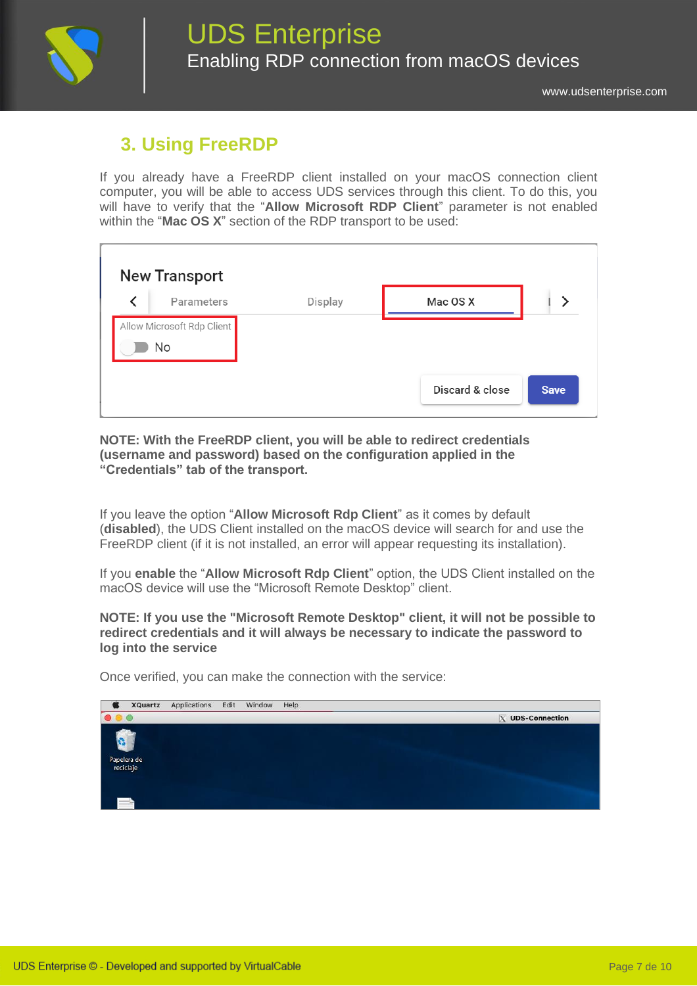

## **3. Using FreeRDP**

If you already have a FreeRDP client installed on your macOS connection client computer, you will be able to access UDS services through this client. To do this, you will have to verify that the "**Allow Microsoft RDP Client**" parameter is not enabled within the "**Mac OS X**" section of the RDP transport to be used:

| <b>New Transport</b>             |            |         |                 |             |  |  |  |
|----------------------------------|------------|---------|-----------------|-------------|--|--|--|
|                                  | Parameters | Display | Mac OS X        |             |  |  |  |
| Allow Microsoft Rdp Client<br>No |            |         |                 |             |  |  |  |
|                                  |            |         | Discard & close | <b>Save</b> |  |  |  |

**NOTE: With the FreeRDP client, you will be able to redirect credentials (username and password) based on the configuration applied in the "Credentials" tab of the transport.**

If you leave the option "**Allow Microsoft Rdp Client**" as it comes by default (**disabled**), the UDS Client installed on the macOS device will search for and use the FreeRDP client (if it is not installed, an error will appear requesting its installation).

If you **enable** the "**Allow Microsoft Rdp Client**" option, the UDS Client installed on the macOS device will use the "Microsoft Remote Desktop" client.

**NOTE: If you use the "Microsoft Remote Desktop" client, it will not be possible to redirect credentials and it will always be necessary to indicate the password to log into the service**

Once verified, you can make the connection with the service:

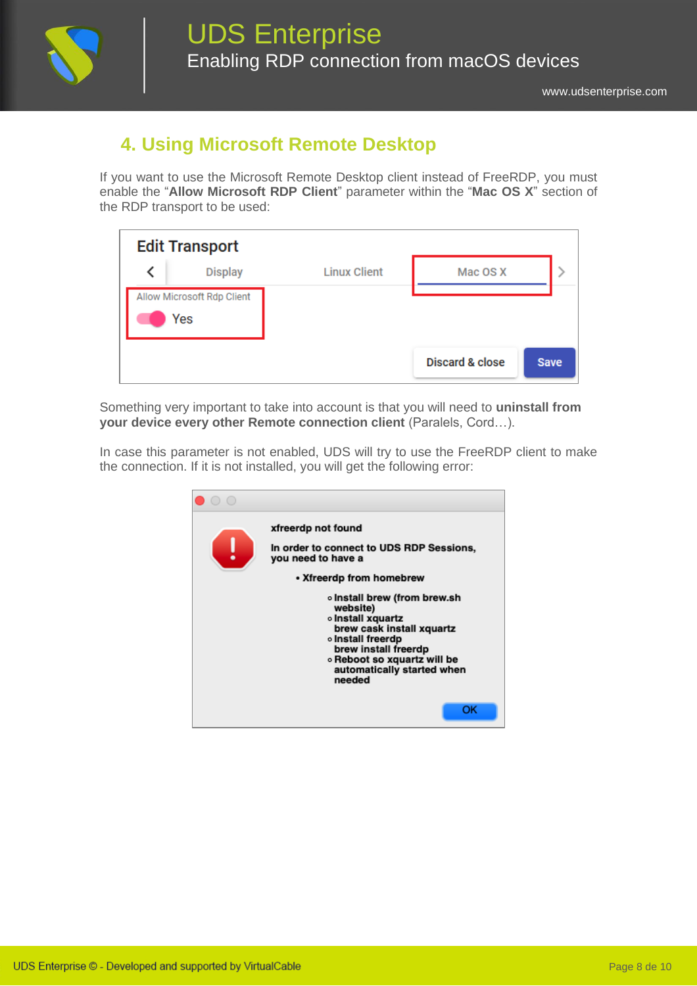

## **4. Using Microsoft Remote Desktop**

If you want to use the Microsoft Remote Desktop client instead of FreeRDP, you must enable the "**Allow Microsoft RDP Client**" parameter within the "**Mac OS X**" section of the RDP transport to be used:

| <b>Edit Transport</b>             |                |                     |                            |             |  |
|-----------------------------------|----------------|---------------------|----------------------------|-------------|--|
|                                   | <b>Display</b> | <b>Linux Client</b> | Mac OS X                   |             |  |
| Allow Microsoft Rdp Client<br>Yes |                |                     |                            |             |  |
|                                   |                |                     | <b>Discard &amp; close</b> | <b>Save</b> |  |

Something very important to take into account is that you will need to **uninstall from your device every other Remote connection client** (Paralels, Cord…).

In case this parameter is not enabled, UDS will try to use the FreeRDP client to make the connection. If it is not installed, you will get the following error:

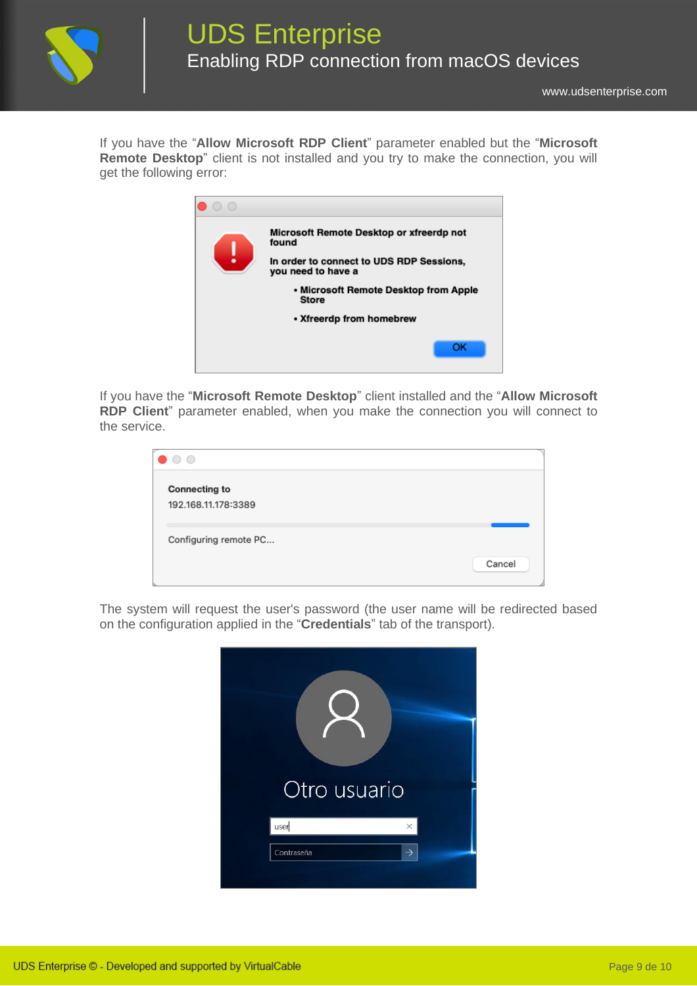

If you have the "**Allow Microsoft RDP Client**" parameter enabled but the "**Microsoft Remote Desktop**" client is not installed and you try to make the connection, you will get the following error:



If you have the "**Microsoft Remote Desktop**" client installed and the "**Allow Microsoft RDP Client**" parameter enabled, when you make the connection you will connect to the service.

| Cancel |
|--------|
|        |
|        |

The system will request the user's password (the user name will be redirected based on the configuration applied in the "**Credentials**" tab of the transport).